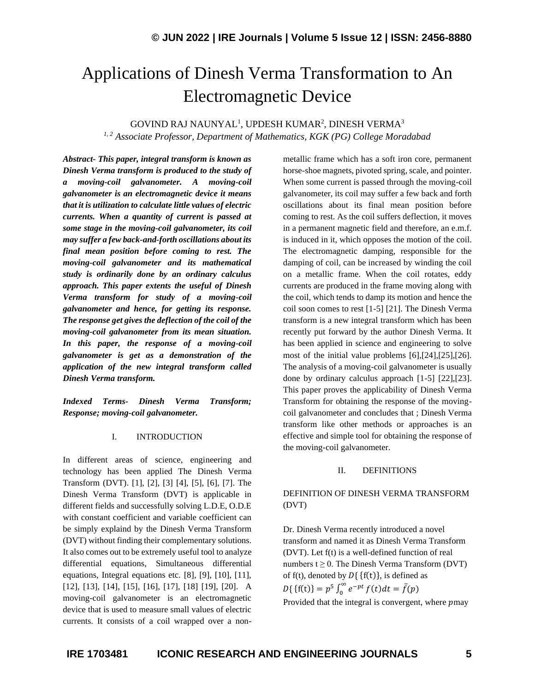# Applications of Dinesh Verma Transformation to An Electromagnetic Device

GOVIND RAJ NAUNYAL<sup>1</sup>, UPDESH KUMAR<sup>2</sup>, DINESH VERMA $^3$ 

*1, 2 Associate Professor, Department of Mathematics, KGK (PG) College Moradabad*

*Abstract- This paper, integral transform is known as Dinesh Verma transform is produced to the study of a moving-coil galvanometer. A moving-coil galvanometer is an electromagnetic device it means that it is utilization to calculate little values of electric currents. When a quantity of current is passed at some stage in the moving-coil galvanometer, its coil may suffer a few back-and-forth oscillations about its final mean position before coming to rest. The moving-coil galvanometer and its mathematical study is ordinarily done by an ordinary calculus approach. This paper extents the useful of Dinesh Verma transform for study of a moving-coil galvanometer and hence, for getting its response. The response get gives the deflection of the coil of the moving-coil galvanometer from its mean situation. In this paper, the response of a moving-coil galvanometer is get as a demonstration of the application of the new integral transform called Dinesh Verma transform.*

*Indexed Terms- Dinesh Verma Transform; Response; moving-coil galvanometer.*

## I. INTRODUCTION

In different areas of science, engineering and technology has been applied The Dinesh Verma Transform (DVT). [1], [2], [3] [4], [5], [6], [7]. The Dinesh Verma Transform (DVT) is applicable in different fields and successfully solving L.D.E, O.D.E with constant coefficient and variable coefficient can be simply explaind by the Dinesh Verma Transform (DVT) without finding their complementary solutions. It also comes out to be extremely useful tool to analyze differential equations, Simultaneous differential equations, Integral equations etc. [8], [9], [10], [11], [12], [13], [14], [15], [16], [17], [18] [19], [20]. A moving-coil galvanometer is an electromagnetic device that is used to measure small values of electric currents. It consists of a coil wrapped over a nonmetallic frame which has a soft iron core, permanent horse-shoe magnets, pivoted spring, scale, and pointer. When some current is passed through the moving-coil galvanometer, its coil may suffer a few back and forth oscillations about its final mean position before coming to rest. As the coil suffers deflection, it moves in a permanent magnetic field and therefore, an e.m.f. is induced in it, which opposes the motion of the coil. The electromagnetic damping, responsible for the damping of coil, can be increased by winding the coil on a metallic frame. When the coil rotates, eddy currents are produced in the frame moving along with the coil, which tends to damp its motion and hence the coil soon comes to rest [1-5] [21]. The Dinesh Verma transform is a new integral transform which has been recently put forward by the author Dinesh Verma. It has been applied in science and engineering to solve most of the initial value problems [6],[24],[25],[26]. The analysis of a moving-coil galvanometer is usually done by ordinary calculus approach [1-5] [22],[23]. This paper proves the applicability of Dinesh Verma Transform for obtaining the response of the movingcoil galvanometer and concludes that ; Dinesh Verma transform like other methods or approaches is an effective and simple tool for obtaining the response of the moving-coil galvanometer.

## II. DEFINITIONS

# DEFINITION OF DINESH VERMA TRANSFORM (DVT)

Dr. Dinesh Verma recently introduced a novel transform and named it as Dinesh Verma Transform (DVT). Let f(t) is a well-defined function of real numbers  $t \geq 0$ . The Dinesh Verma Transform (DVT) of f(t), denoted by  $D\{f(t)\}\)$ , is defined as  $D\{\{\text{f(t)}\} = p^5 \int_0^\infty e^{-pt} f(t) dt = \bar{f}(p)$ Provided that the integral is convergent, where pmay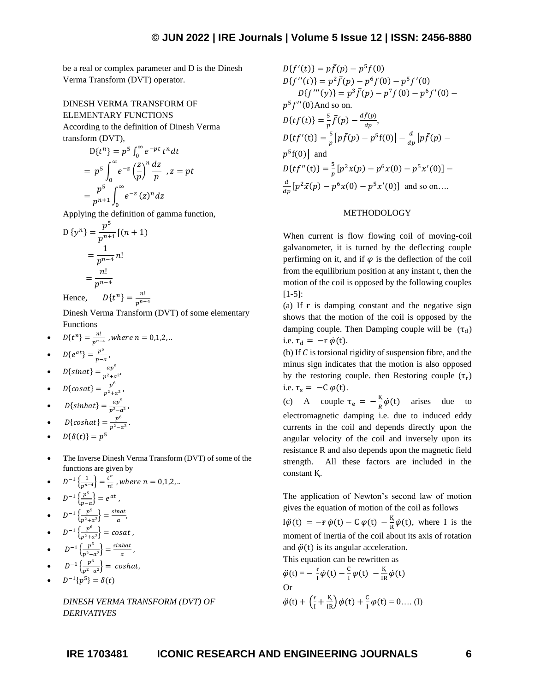be a real or complex parameter and D is the Dinesh Verma Transform (DVT) operator.

# DINESH VERMA TRANSFORM OF ELEMENTARY FUNCTIONS

According to the definition of Dinesh Verma transform (DVT),

$$
D\{t^n\} = p^5 \int_0^\infty e^{-pt} t^n dt
$$
  
=  $p^5 \int_0^\infty e^{-z} \left(\frac{z}{p}\right)^n \frac{dz}{p}$ ,  $z = pt$   
=  $\frac{p^5}{p^{n+1}} \int_0^\infty e^{-z} (z)^n dz$ 

Applying the definition of gamma function,

D 
$$
\{y^n\} = \frac{p^5}{p^{n+1}}[(n+1)]
$$
  
=  $\frac{1}{p^{n-4}}n!$   
=  $\frac{n!}{p^{n-4}}$ 

Hence,  ${n \choose 1} = \frac{n!}{n!}$  $p^{n-4}$ 

Dinesh Verma Transform (DVT) of some elementary Functions

•  $D\{t^n\} = \frac{n!}{n^n}$  $\frac{n}{p^{n-4}}$  , where  $n = 0,1,2, ...$ 

$$
\bullet \qquad D\{e^{at}\} = \frac{p^5}{p-a},
$$

• 
$$
D\{\text{sin}at\} = \frac{ap^5}{p^2 + a^2}
$$

•  $D{cosat} = \frac{p^6}{r^2 + 1}$  $\frac{p}{p^2 + a^2}$ ,

• 
$$
D\{\sinh at\} = \frac{ap^5}{p^2 - a^2},
$$

• 
$$
D\{coshat\} = \frac{p^6}{p^2 - a^2}
$$

• 
$$
D\{\delta(t)\} = p^5
$$

• **T**he Inverse Dinesh Verma Transform (DVT) of some of the functions are given by

.

•  $D^{-1}\left\{\frac{1}{m!}\right\}$  $\left\{\frac{1}{p^{n-4}}\right\} = \frac{t^n}{n!}$  $\frac{c}{n!}$  , where  $n = 0,1,2,..$ 5

• 
$$
D^{-1}\left\{\frac{p^5}{p-a}\right\} = e^{at},
$$

$$
\bullet \qquad D^{-1}\left\{\frac{p^5}{p^2+a^2}\right\} = \frac{\sin at}{a},
$$

• 
$$
D^{-1}\left\{\frac{p^6}{p^2+a^2}\right\} = \text{cosat}
$$

• 
$$
D^{-1}\left\{\frac{p^5}{p^2-a^2}\right\} = \frac{\sinhat}{a}
$$

• 
$$
D^{-1}\left\{\frac{p^6}{p^2-a^2}\right\} = \cosh at,
$$

$$
\bullet \qquad D^{-1}\{p^5\} = \delta(t)
$$

*DINESH VERMA TRANSFORM (DVT) OF DERIVATIVES*

,

$$
D{f'(t)} = p\bar{f}(p) - p^5 f(0)
$$
  
\n
$$
D{f''(t)} = p^2 \bar{f}(p) - p^6 f(0) - p^5 f'(0)
$$
  
\n
$$
D{f'''(y)} = p^3 \bar{f}(p) - p^7 f(0) - p^6 f'(0) - p^5 f''(0)
$$
  
\n
$$
p^5 f''(0)
$$
And so on.  
\n
$$
D{tf(t)} = \frac{5}{p}\bar{f}(p) - \frac{d\bar{f}(p)}{dp},
$$
  
\n
$$
D{tf'(t)} = \frac{5}{p}\left[p\bar{f}(p) - p^5 f(0)\right] - \frac{d}{dp}\left[p\bar{f}(p) - p^5 f(0)\right]
$$
  
\n
$$
p^5 f(0)
$$
and  
\n
$$
D{tf''(t)} = \frac{5}{p}\left[p^2 \bar{x}(p) - p^6 x(0) - p^5 x'(0)\right]
$$
  
\nand so on....  
\n
$$
\frac{d}{dp}\left[p^2 \bar{x}(p) - p^6 x(0) - p^5 x'(0)\right]
$$
and so on....

## METHODOLOGY

When current is flow flowing coil of moving-coil galvanometer, it is turned by the deflecting couple perfirming on it, and if  $\varphi$  is the deflection of the coil from the equilibrium position at any instant t, then the motion of the coil is opposed by the following couples [1-5]:

(a) If  $\bf{r}$  is damping constant and the negative sign shows that the motion of the coil is opposed by the damping couple. Then Damping couple will be  $(\tau_d)$ i.e.  $\tau_d = -\mathbf{r} \, \dot{\varphi}(\mathbf{t})$ .

(b) If  $C$  is torsional rigidity of suspension fibre, and the minus sign indicates that the motion is also opposed by the restoring couple. then Restoring couple  $(\tau_r)$ i.e.  $\tau_s = -C \varphi(t)$ .

(c) A couple  $\tau_e = -\frac{K}{R}$  $\frac{dS}{dt} \dot{\varphi}(t)$  arises due to electromagnetic damping i.e. due to induced eddy currents in the coil and depends directly upon the angular velocity of the coil and inversely upon its resistance R and also depends upon the magnetic field strength. All these factors are included in the constant K.

The application of Newton's second law of motion gives the equation of motion of the coil as follows

 $\dot{\psi}(t) = -\dot{r} \dot{\phi}(t) - C \dot{\phi}(t) - \frac{K}{R}$  $\frac{R}{R}\dot{\varphi}(t)$ , where I is the moment of inertia of the coil about its axis of rotation and  $\ddot{\varphi}(t)$  is its angular acceleration. This equation can be rewritten as

$$
\ddot{\varphi}(t) = -\frac{r}{i}\dot{\varphi}(t) - \frac{c}{i}\varphi(t) - \frac{K}{iR}\dot{\varphi}(t)
$$
\nOr

\n
$$
\ddot{\varphi}(t) + \left(\frac{r}{i} + \frac{K}{iR}\right)\dot{\varphi}(t) + \frac{c}{i}\varphi(t) = 0 \dots (I)
$$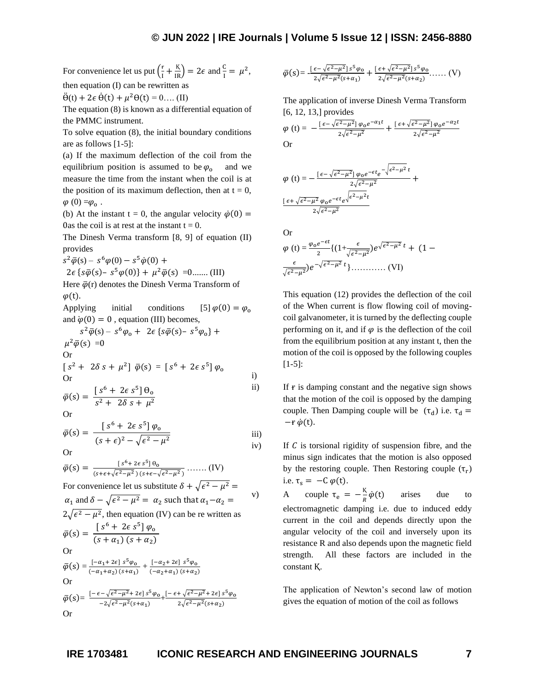For convenience let us put  $\left(\frac{f}{f}\right)$  $\frac{F}{I} + \frac{K}{IR}$  = 2 $\epsilon$  and  $\frac{C}{I} = \mu^2$ , then equation (I) can be rewritten as

 $\ddot{\Theta}(t) + 2\epsilon \dot{\Theta}(t) + \mu^2 \Theta(t) = 0 \dots (II)$ 

The equation (8) is known as a differential equation of the PMMC instrument.

To solve equation (8), the initial boundary conditions are as follows [1-5]:

(a) If the maximum deflection of the coil from the equilibrium position is assumed to be  $\varphi_0$  and we measure the time from the instant when the coil is at the position of its maximum deflection, then at  $t = 0$ ,  $\varphi(0) = \varphi_0$ .

(b) At the instant t = 0, the angular velocity  $\dot{\varphi}(0)$  = 0as the coil is at rest at the instant  $t = 0$ .

The Dinesh Verma transform [8, 9] of equation (II) provides

 $s^2\bar{\varphi}(s) - s^6\varphi(0) - s^5\dot{\varphi}(0) +$ 

$$
2\epsilon \{s\bar{\varphi}(s) - s^5\varphi(0)\} + \mu^2 \bar{\varphi}(s) = 0
$$
...... (III)

Here  $\bar{\varphi}$ (r) denotes the Dinesh Verma Transform of  $\varphi(t)$ .

Applying initial conditions [5]  $\varphi(0) = \varphi_0$ and  $\dot{\varphi}(0) = 0$ , equation (III) becomes,

$$
s^{2}\bar{\varphi}(s) - s^{6}\varphi_{0} + 2\epsilon \{s\bar{\varphi}(s) - s^{5}\varphi_{0}\} +
$$
  

$$
\mu^{2}\bar{\varphi}(s) = 0
$$
  
Or  

$$
[s^{2} + 2\delta s + \mu^{2}] \bar{\varphi}(s) = [s^{6} + 2\epsilon s^{5}] \varphi_{0}
$$

$$
\begin{array}{ccc}\n\text{Or} & & & \text{i} \\
\text{for} & & & \text{i}\n\end{array}
$$

$$
\bar{\varphi}(s) = \frac{\left[s^6 + 2\epsilon s^5\right]\theta_o}{s^2 + 2\delta s + \mu^2}
$$

$$
\bar{\varphi}(s) = \frac{\left[s^6 + 2\epsilon \, s^5\right] \varphi_0}{(s + \epsilon)^2 - \sqrt{\epsilon^2 - \mu^2}} \qquad \text{iii)}
$$
\n
$$
\text{iv}
$$

Or

$$
\overline{\varphi}(s) = \frac{[s^6 + 2\epsilon s^5] \theta_0}{(s + \epsilon + \sqrt{\epsilon^2 - \mu^2})(s + \epsilon - \sqrt{\epsilon^2 - \mu^2})} \dots (IV)
$$
  
For convenience let us substitute  $\delta + \sqrt{\epsilon^2 - \mu^2} = \alpha_1$  and  $\delta - \sqrt{\epsilon^2 - \mu^2} = \alpha_2$  such that  $\alpha_1 - \alpha_2 = 2\sqrt{\epsilon^2 - \mu^2}$ , then equation (IV) can be re written as  

$$
\overline{\varphi}(s) = \frac{[s^6 + 2\epsilon s^5] \varphi_0}{(s + \alpha_1)(s + \alpha_2)}
$$
Or  

$$
\overline{\varphi}(s) = \frac{[-\alpha_1 + 2\epsilon] s^5 \varphi_0}{(-\alpha_1 + \alpha_2)(s + \alpha_1)} + \frac{[-\alpha_2 + 2\epsilon] s^5 \varphi_0}{(-\alpha_2 + \alpha_1)(s + \alpha_2)}
$$
Or  

$$
\overline{\varphi}(s) = \frac{[-\epsilon - \sqrt{\epsilon^2 - \mu^2} + 2\epsilon] s^5 \varphi_0}{-2\sqrt{\epsilon^2 - \mu^2}(s + \alpha_1)} + \frac{[-\epsilon + \sqrt{\epsilon^2 - \mu^2} + 2\epsilon] s^5 \varphi_0}{2\sqrt{\epsilon^2 - \mu^2}(s + \alpha_2)}
$$
Or

$$
\overline{\varphi}(s) = \frac{\left[\,\varepsilon - \sqrt{\varepsilon^2 - \mu^2}\right]s^5\varphi_0}{2\sqrt{\varepsilon^2 - \mu^2}(s + \alpha_1)} + \frac{\left[\,\varepsilon + \sqrt{\varepsilon^2 - \mu^2}\right]s^5\varphi_0}{2\sqrt{\varepsilon^2 - \mu^2}(s + \alpha_2)}\,\ldots\ldots\,(V)
$$

The application of inverse Dinesh Verma Transform [6, 12, 13,] provides

$$
\varphi(t) = -\frac{\left[\epsilon - \sqrt{\epsilon^2 - \mu^2}\right] \varphi_0 e^{-\alpha_1 t}}{2\sqrt{\epsilon^2 - \mu^2}} + \frac{\left[\epsilon + \sqrt{\epsilon^2 - \mu^2}\right] \varphi_0 e^{-\alpha_2 t}}{2\sqrt{\epsilon^2 - \mu^2}}
$$
Or

$$
\varphi(t) = -\frac{\left[\epsilon - \sqrt{\epsilon^2 - \mu^2}\right] \varphi_0 e^{-\epsilon t} e^{-\sqrt{\epsilon^2 - \mu^2} t}}{2\sqrt{\epsilon^2 - \mu^2}} + \frac{\left[\epsilon + \sqrt{\epsilon^2 - \mu^2} \varphi_0 e^{-\epsilon t} e^{-\sqrt{\epsilon^2 - \mu^2} t}\right]}{2\sqrt{\epsilon^2 - \mu^2}}
$$

Or

 (t) = o − 2 {(1+ √ 2−2 ) √ <sup>2</sup>−<sup>2</sup> + (1 − √ 2−2 ) −√ 2−2 }………… (VI)

This equation (12) provides the deflection of the coil of the When current is flow flowing coil of movingcoil galvanometer, it is turned by the deflecting couple performing on it, and if  $\varphi$  is the deflection of the coil from the equilibrium position at any instant t, then the motion of the coil is opposed by the following couples [1-5]:

ii) If  $\mathbf{r}$  is damping constant and the negative sign shows that the motion of the coil is opposed by the damping couple. Then Damping couple will be  $(\tau_d)$  i.e.  $\tau_d$  =  $-r \dot{\varphi}(t)$ .

If  $C$  is torsional rigidity of suspension fibre, and the minus sign indicates that the motion is also opposed by the restoring couple. Then Restoring couple  $(\tau_r)$ i.e.  $\tau_s = -C \varphi(t)$ .

v) A couple  $\tau_e = -\frac{K}{R}$  $\boldsymbol{R}$ arises due to electromagnetic damping i.e. due to induced eddy current in the coil and depends directly upon the angular velocity of the coil and inversely upon its resistance R and also depends upon the magnetic field strength. All these factors are included in the constant K.

> The application of Newton's second law of motion gives the equation of motion of the coil as follows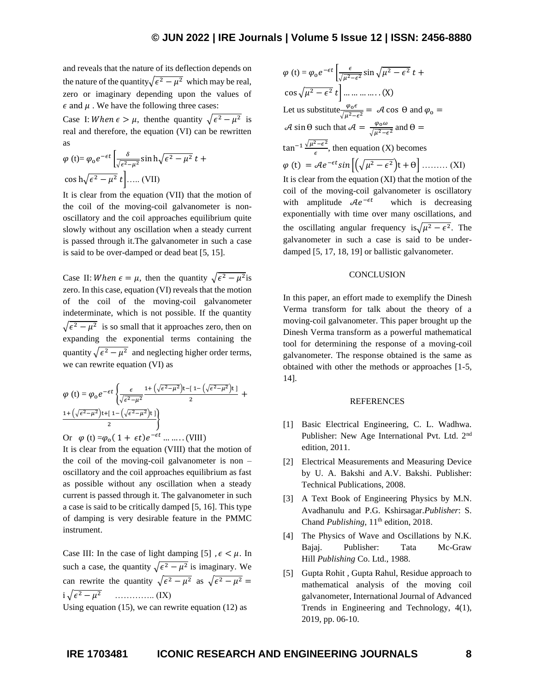and reveals that the nature of its deflection depends on the nature of the quantity $\sqrt{\epsilon^2 - \mu^2}$  which may be real, zero or imaginary depending upon the values of  $\epsilon$  and  $\mu$ . We have the following three cases:

Case I: When  $\epsilon > \mu$ , then the quantity  $\sqrt{\epsilon^2 - \mu^2}$  is real and therefore, the equation (VI) can be rewritten as

$$
\varphi(t) = \varphi_0 e^{-\epsilon t} \left[ \frac{\delta}{\sqrt{\epsilon^2 - \mu^2}} \sin h \sqrt{\epsilon^2 - \mu^2} t + \cos h \sqrt{\epsilon^2 - \mu^2} t \right].
$$

It is clear from the equation (VII) that the motion of the coil of the moving-coil galvanometer is nonoscillatory and the coil approaches equilibrium quite slowly without any oscillation when a steady current is passed through it.The galvanometer in such a case is said to be over-damped or dead beat [5, 15].

Case II: When  $\epsilon = \mu$ , then the quantity  $\sqrt{\epsilon^2 - \mu^2}$  is zero. In this case, equation (VI) reveals that the motion of the coil of the moving-coil galvanometer indeterminate, which is not possible. If the quantity  $\sqrt{\epsilon^2 - \mu^2}$  is so small that it approaches zero, then on expanding the exponential terms containing the quantity  $\sqrt{\epsilon^2 - \mu^2}$  and neglecting higher order terms, we can rewrite equation (VI) as

$$
\varphi(t) = \varphi_0 e^{-\epsilon t} \left\{ \frac{\epsilon}{\sqrt{\epsilon^2 - \mu^2}} \frac{1 + (\sqrt{\epsilon^2 - \mu^2}) t - [1 - (\sqrt{\epsilon^2 - \mu^2}) t]}{2} + \frac{1 + (\sqrt{\epsilon^2 - \mu^2}) t + [1 - (\sqrt{\epsilon^2 - \mu^2}) t]}{2} \right\}
$$

Or  $\varphi$  (t) = $\varphi_0(1 + \epsilon t)e^{-\epsilon t}$  ... ... . (VIII)

It is clear from the equation (VIII) that the motion of the coil of the moving-coil galvanometer is non – oscillatory and the coil approaches equilibrium as fast as possible without any oscillation when a steady current is passed through it. The galvanometer in such a case is said to be critically damped [5, 16]. This type of damping is very desirable feature in the PMMC instrument.

Case III: In the case of light damping [5],  $\epsilon < \mu$ . In such a case, the quantity  $\sqrt{\epsilon^2 - \mu^2}$  is imaginary. We can rewrite the quantity  $\sqrt{\epsilon^2 - \mu^2}$  as  $\sqrt{\epsilon^2 - \mu^2} =$ i √ <sup>2</sup> − <sup>2</sup> ………….. (IX)

Using equation  $(15)$ , we can rewrite equation  $(12)$  as

$$
\varphi(t) = \varphi_0 e^{-\epsilon t} \left[ \frac{\epsilon}{\sqrt{\mu^2 - \epsilon^2}} \sin \sqrt{\mu^2 - \epsilon^2} t + \cos \sqrt{\mu^2 - \epsilon^2} t \right] \dots \dots \dots \dots (X)
$$
  
Let us substitute  $\frac{\varphi_0 \epsilon}{\sqrt{\mu^2 - \epsilon^2}} = \mathcal{A} \cos \theta$  and  $\varphi_0 = \mathcal{A} \sin \theta$  such that  $\mathcal{A} = \frac{\varphi_0 \omega}{\sqrt{\mu^2 - \epsilon^2}}$  and  $\theta = \tan^{-1} \frac{\sqrt{\mu^2 - \epsilon^2}}{\epsilon}$ , then equation (X) becomes  
 $\varphi(t) = \mathcal{A}e^{-\epsilon t} \sin \left[ \left( \sqrt{\mu^2 - \epsilon^2} \right) t + \theta \right] \dots \dots \dots (XI)$   
It is clear from the equation (XI) that the motion of the  
coil of the moving-coil galvanometer is oscillatory  
with amplitude  $\mathcal{A}e^{-\epsilon t}$  which is decreasing  
exponentially with time over many oscillations, and  
the oscillating angular frequency is $\sqrt{\mu^2 - \epsilon^2}$ . The  
galvanometer in such a case is said to be under-  
damped [5, 17, 18, 19] or ballistic galvanometer.

### **CONCLUSION**

In this paper, an effort made to exemplify the Dinesh Verma transform for talk about the theory of a moving-coil galvanometer. This paper brought up the Dinesh Verma transform as a powerful mathematical tool for determining the response of a moving-coil galvanometer. The response obtained is the same as obtained with other the methods or approaches [1-5, 14].

## REFERENCES

- [1] Basic Electrical Engineering, C. L. Wadhwa. Publisher: New Age International Pvt. Ltd. 2nd edition, 2011.
- [2] Electrical Measurements and Measuring Device by U. A. Bakshi and A.V. Bakshi. Publisher: Technical Publications, 2008.
- [3] A Text Book of Engineering Physics by M.N. Avadhanulu and P.G. Kshirsagar.*Publisher*: S. Chand *Publishing*, 11<sup>th</sup> edition, 2018.
- [4] The Physics of Wave and Oscillations by N.K. Bajaj. Publisher: Tata Mc-Graw Hill *Publishing* Co. Ltd., 1988.
- [5] Gupta Rohit , Gupta Rahul, Residue approach to mathematical analysis of the moving coil galvanometer, International Journal of Advanced Trends in Engineering and Technology, 4(1), 2019, pp. 06-10.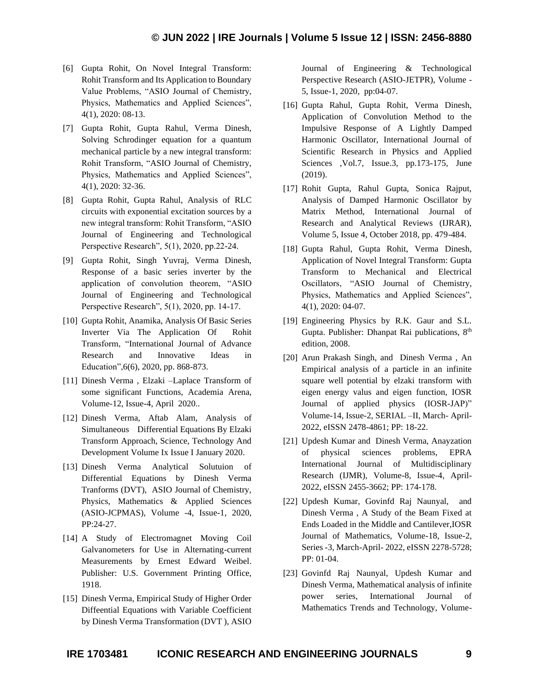- [6] Gupta Rohit, On Novel Integral Transform: Rohit Transform and Its Application to Boundary Value Problems, "ASIO Journal of Chemistry, Physics, Mathematics and Applied Sciences", 4(1), 2020: 08-13.
- [7] Gupta Rohit, Gupta Rahul, Verma Dinesh, Solving Schrodinger equation for a quantum mechanical particle by a new integral transform: Rohit Transform, "ASIO Journal of Chemistry, Physics, Mathematics and Applied Sciences", 4(1), 2020: 32-36.
- [8] Gupta Rohit, Gupta Rahul, Analysis of RLC circuits with exponential excitation sources by a new integral transform: Rohit Transform, "ASIO Journal of Engineering and Technological Perspective Research", 5(1), 2020, pp.22-24.
- [9] Gupta Rohit, Singh Yuvraj, Verma Dinesh, Response of a basic series inverter by the application of convolution theorem, "ASIO Journal of Engineering and Technological Perspective Research", 5(1), 2020, pp. 14-17.
- [10] Gupta Rohit, Anamika, Analysis Of Basic Series Inverter Via The Application Of Rohit Transform, "International Journal of Advance Research and Innovative Ideas in Education",6(6), 2020, pp. 868-873.
- [11] Dinesh Verma , Elzaki –Laplace Transform of some significant Functions, Academia Arena, Volume-12, Issue-4, April 2020..
- [12] Dinesh Verma, Aftab Alam, Analysis of Simultaneous Differential Equations By Elzaki Transform Approach, Science, Technology And Development Volume Ix Issue I January 2020.
- [13] Dinesh Verma Analytical Solutuion of Differential Equations by Dinesh Verma Tranforms (DVT), ASIO Journal of Chemistry, Physics, Mathematics & Applied Sciences (ASIO-JCPMAS), Volume -4, Issue-1, 2020, PP:24-27.
- [14] A Study of Electromagnet Moving Coil Galvanometers for Use in Alternating-current Measurements by Ernest Edward Weibel. Publisher: U.S. Government Printing Office, 1918.
- [15] Dinesh Verma, Empirical Study of Higher Order Diffeential Equations with Variable Coefficient by Dinesh Verma Transformation (DVT ), ASIO

Journal of Engineering & Technological Perspective Research (ASIO-JETPR), Volume - 5, Issue-1, 2020, pp:04-07.

- [16] Gupta Rahul, Gupta Rohit, Verma Dinesh, Application of Convolution Method to the Impulsive Response of A Lightly Damped Harmonic Oscillator, International Journal of Scientific Research in Physics and Applied Sciences , Vol.7, Issue.3, pp.173-175, June (2019).
- [17] Rohit Gupta, Rahul Gupta, Sonica Rajput, Analysis of Damped Harmonic Oscillator by Matrix Method, International Journal of Research and Analytical Reviews (IJRAR), Volume 5, Issue 4, October 2018, pp. 479-484.
- [18] Gupta Rahul, Gupta Rohit, Verma Dinesh, Application of Novel Integral Transform: Gupta Transform to Mechanical and Electrical Oscillators, "ASIO Journal of Chemistry, Physics, Mathematics and Applied Sciences", 4(1), 2020: 04-07.
- [19] Engineering Physics by R.K. Gaur and S.L. Gupta. Publisher: Dhanpat Rai publications, 8<sup>th</sup> edition, 2008.
- [20] Arun Prakash Singh, and Dinesh Verma , An Empirical analysis of a particle in an infinite square well potential by elzaki transform with eigen energy valus and eigen function, IOSR Journal of applied physics (IOSR-JAP)" Volume-14, Issue-2, SERIAL –II, March- April-2022, eISSN 2478-4861; PP: 18-22.
- [21] Updesh Kumar and Dinesh Verma, Anayzation of physical sciences problems, EPRA International Journal of Multidisciplinary Research (IJMR), Volume-8, Issue-4, April-2022, eISSN 2455-3662; PP: 174-178.
- [22] Updesh Kumar, Govinfd Raj Naunyal, and Dinesh Verma , A Study of the Beam Fixed at Ends Loaded in the Middle and Cantilever,IOSR Journal of Mathematics, Volume-18, Issue-2, Series -3, March-April- 2022, eISSN 2278-5728; PP: 01-04.
- [23] Govinfd Raj Naunyal, Updesh Kumar and Dinesh Verma, Mathematical analysis of infinite power series, International Journal of Mathematics Trends and Technology, Volume-